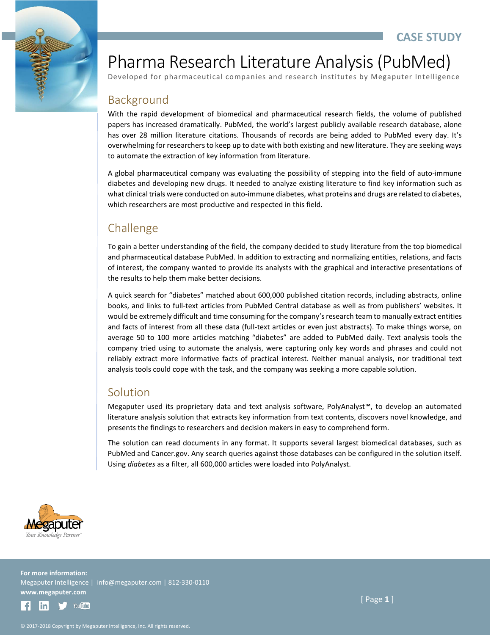

# Pharma Research Literature Analysis (PubMed)

Developed for pharmaceutical companies and research institutes by Megaputer Intelligence

### Background

With the rapid development of biomedical and pharmaceutical research fields, the volume of published papers has increased dramatically. PubMed, the world's largest publicly available research database, alone has over 28 million literature citations. Thousands of records are being added to PubMed every day. It's overwhelming for researchers to keep up to date with both existing and new literature. They are seeking ways to automate the extraction of key information from literature.

A global pharmaceutical company was evaluating the possibility of stepping into the field of auto-immune diabetes and developing new drugs. It needed to analyze existing literature to find key information such as what clinical trials were conducted on auto-immune diabetes, what proteins and drugs are related to diabetes, which researchers are most productive and respected in this field.

## Challenge

To gain a better understanding of the field, the company decided to study literature from the top biomedical and pharmaceutical database PubMed. In addition to extracting and normalizing entities, relations, and facts of interest, the company wanted to provide its analysts with the graphical and interactive presentations of the results to help them make better decisions.

A quick search for "diabetes" matched about 600,000 published citation records, including abstracts, online books, and links to full-text articles from PubMed Central database as well as from publishers' websites. It would be extremely difficult and time consuming for the company's research team to manually extract entities and facts of interest from all these data (full-text articles or even just abstracts). To make things worse, on average 50 to 100 more articles matching "diabetes" are added to PubMed daily. Text analysis tools the company tried using to automate the analysis, were capturing only key words and phrases and could not reliably extract more informative facts of practical interest. Neither manual analysis, nor traditional text analysis tools could cope with the task, and the company was seeking a more capable solution.

#### Solution

Megaputer used its proprietary data and text analysis software, PolyAnalyst™, to develop an automated literature analysis solution that extracts key information from text contents, discovers novel knowledge, and presents the findings to researchers and decision makers in easy to comprehend form.

The solution can read documents in any format. It supports several largest biomedical databases, such as PubMed and Cancer.gov. Any search queries against those databases can be configured in the solution itself. Using *diabetes* as a filter, all 600,000 articles were loaded into PolyAnalyst.



**For more information:** Megaputer Intelligence | info@megaputer.com | 812-330-0110 **www.megaputer.com**